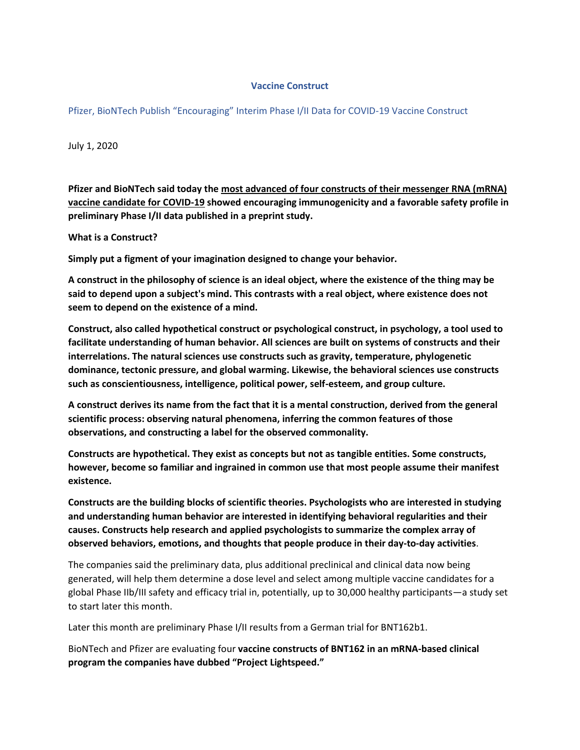## **Vaccine Construct**

Pfizer, BioNTech Publish "Encouraging" Interim Phase I/II Data for COVID-19 Vaccine Construct

July 1, 2020

**Pfizer and BioNTech said today the most advanced of four constructs of their messenger RNA (mRNA) vaccine candidate for COVID-19 showed encouraging immunogenicity and a favorable safety profile in preliminary Phase I/II data published in a preprint study.**

**What is a Construct?**

**Simply put a figment of your imagination designed to change your behavior.** 

**A construct in the philosophy of science is an ideal object, where the existence of the thing may be said to depend upon a subject's mind. This contrasts with a real object, where existence does not seem to depend on the existence of a mind.**

**Construct, also called hypothetical construct or psychological construct, in psychology, a tool used to facilitate understanding of human behavior. All sciences are built on systems of constructs and their interrelations. The natural sciences use constructs such as gravity, temperature, phylogenetic dominance, tectonic pressure, and global warming. Likewise, the behavioral sciences use constructs such as conscientiousness, intelligence, political power, self-esteem, and group culture.**

**A construct derives its name from the fact that it is a mental construction, derived from the general scientific process: observing natural phenomena, inferring the common features of those observations, and constructing a label for the observed commonality.**

**Constructs are hypothetical. They exist as concepts but not as tangible entities. Some constructs, however, become so familiar and ingrained in common use that most people assume their manifest existence.**

**Constructs are the building blocks of scientific theories. Psychologists who are interested in studying and understanding human behavior are interested in identifying behavioral regularities and their causes. Constructs help research and applied psychologists to summarize the complex array of observed behaviors, emotions, and thoughts that people produce in their day-to-day activities**.

The companies said the preliminary data, plus additional preclinical and clinical data now being generated, will help them determine a dose level and select among multiple vaccine candidates for a global Phase IIb/III safety and efficacy trial in, potentially, up to 30,000 healthy participants—a study set to start later this month.

Later this month are preliminary Phase I/II results from a German trial for BNT162b1.

BioNTech and Pfizer are evaluating four **vaccine constructs of BNT162 in an mRNA-based clinical program the companies have dubbed "Project Lightspeed."**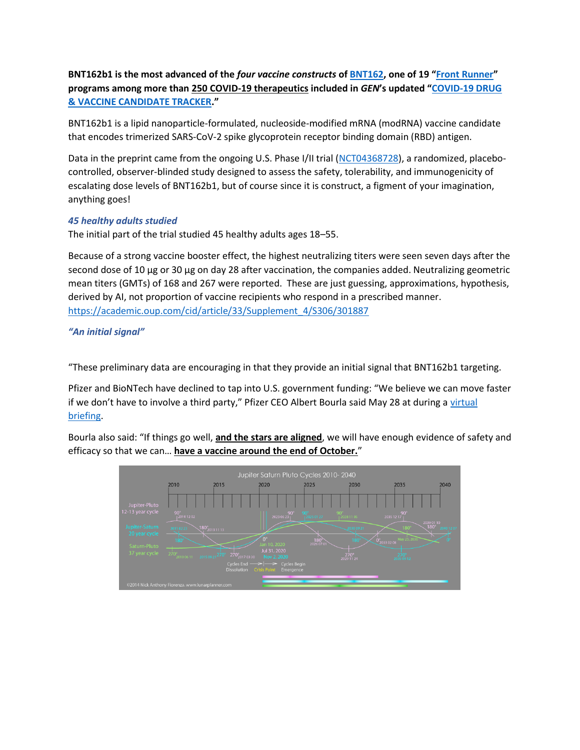**BNT162b1 is the most advanced of the** *four vaccine constructs* **o[f BNT162](https://www.genengnews.com/covid-19-candidates/biontech-pfizer-and-fosun-pharma-bnt162/), one of 19 "[Front Runner](https://www.genengnews.com/category/covid-19-candidates/covid-19-front-runner/)" programs among more than 250 COVID-19 therapeutics included in** *GEN***'s updated "[COVID-19 DRUG](https://www.genengnews.com/covid-19-candidates/covid-19-drug-and-vaccine-tracker/)  [& VACCINE CANDIDATE TRACKER](https://www.genengnews.com/covid-19-candidates/covid-19-drug-and-vaccine-tracker/)."**

BNT162b1 is a lipid nanoparticle-formulated, nucleoside-modified mRNA (modRNA) vaccine candidate that encodes trimerized SARS-CoV-2 spike glycoprotein receptor binding domain (RBD) antigen.

Data in the preprint came from the ongoing U.S. Phase I/II trial [\(NCT04368728\)](https://clinicaltrials.gov/ct2/show/NCT04368728), a randomized, placebocontrolled, observer-blinded study designed to assess the safety, tolerability, and immunogenicity of escalating dose levels of BNT162b1, but of course since it is construct, a figment of your imagination, anything goes!

## *45 healthy adults studied*

The initial part of the trial studied 45 healthy adults ages 18–55.

Because of a strong vaccine booster effect, the highest neutralizing titers were seen seven days after the second dose of 10 µg or 30 µg on day 28 after vaccination, the companies added. Neutralizing geometric mean titers (GMTs) of 168 and 267 were reported. These are just guessing, approximations, hypothesis, derived by AI, not proportion of vaccine recipients who respond in a prescribed manner. [https://academic.oup.com/cid/article/33/Supplement\\_4/S306/301887](https://academic.oup.com/cid/article/33/Supplement_4/S306/301887) 

*"An initial signal"*

"These preliminary data are encouraging in that they provide an initial signal that BNT162b1 targeting.

Pfizer and BioNTech have declined to tap into U.S. government funding: "We believe we can move faster if we don't have to involve a third party," Pfizer CEO Albert Bourla said May 28 at during a [virtual](https://www.ifpma.org/resource-centre/global-biopharma-ceo-top-executives-covid-19-media-briefing-28-may-2020/)  [briefing.](https://www.ifpma.org/resource-centre/global-biopharma-ceo-top-executives-covid-19-media-briefing-28-may-2020/)

Bourla also said: "If things go well, **and the stars are aligned**, we will have enough evidence of safety and efficacy so that we can… **have a vaccine around the end of October.**"

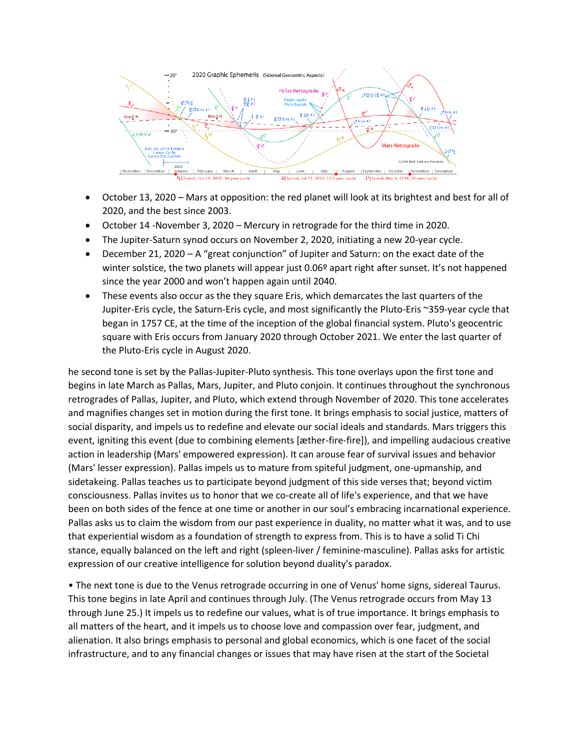

- October 13, 2020 Mars at opposition: the red planet will look at its brightest and best for all of 2020, and the best since 2003.
- October 14 -November 3, 2020 Mercury in retrograde for the third time in 2020.
- The Jupiter-Saturn synod occurs on November 2, 2020, initiating a new 20-year cycle.
- December 21, 2020 A "great conjunction" of Jupiter and Saturn: on the exact date of the winter solstice, the two planets will appear just 0.06<sup>°</sup> apart right after sunset. It's not happened since the year 2000 and won't happen again until 2040.
- These events also occur as the they square Eris, which demarcates the last quarters of the Jupiter-Eris cycle, the Saturn-Eris cycle, and most significantly the Pluto-Eris ~359-year cycle that began in 1757 CE, at the time of the inception of the global financial system. Pluto's geocentric square with Eris occurs from January 2020 through October 2021. We enter the last quarter of the Pluto-Eris cycle in August 2020.

he second tone is set by the Pallas-Jupiter-Pluto synthesis. This tone overlays upon the first tone and begins in late March as Pallas, Mars, Jupiter, and Pluto conjoin. It continues throughout the synchronous retrogrades of Pallas, Jupiter, and Pluto, which extend through November of 2020. This tone accelerates and magnifies changes set in motion during the first tone. It brings emphasis to social justice, matters of social disparity, and impels us to redefine and elevate our social ideals and standards. Mars triggers this event, igniting this event (due to combining elements [æther-fire-fire]), and impelling audacious creative action in leadership (Mars' empowered expression). It can arouse fear of survival issues and behavior (Mars' lesser expression). Pallas impels us to mature from spiteful judgment, one-upmanship, and sidetakeing. Pallas teaches us to participate beyond judgment of this side verses that; beyond victim consciousness. Pallas invites us to honor that we co-create all of life's experience, and that we have been on both sides of the fence at one time or another in our soul's embracing incarnational experience. Pallas asks us to claim the wisdom from our past experience in duality, no matter what it was, and to use that experiential wisdom as a foundation of strength to express from. This is to have a solid Ti Chi stance, equally balanced on the left and right (spleen-liver / feminine-masculine). Pallas asks for artistic expression of our creative intelligence for solution beyond duality's paradox.

• The next tone is due to the Venus retrograde occurring in one of Venus' home signs, sidereal Taurus. This tone begins in late April and continues through July. (The Venus retrograde occurs from May 13 through June 25.) It impels us to redefine our values, what is of true importance. It brings emphasis to all matters of the heart, and it impels us to choose love and compassion over fear, judgment, and alienation. It also brings emphasis to personal and global economics, which is one facet of the social infrastructure, and to any financial changes or issues that may have risen at the start of the Societal